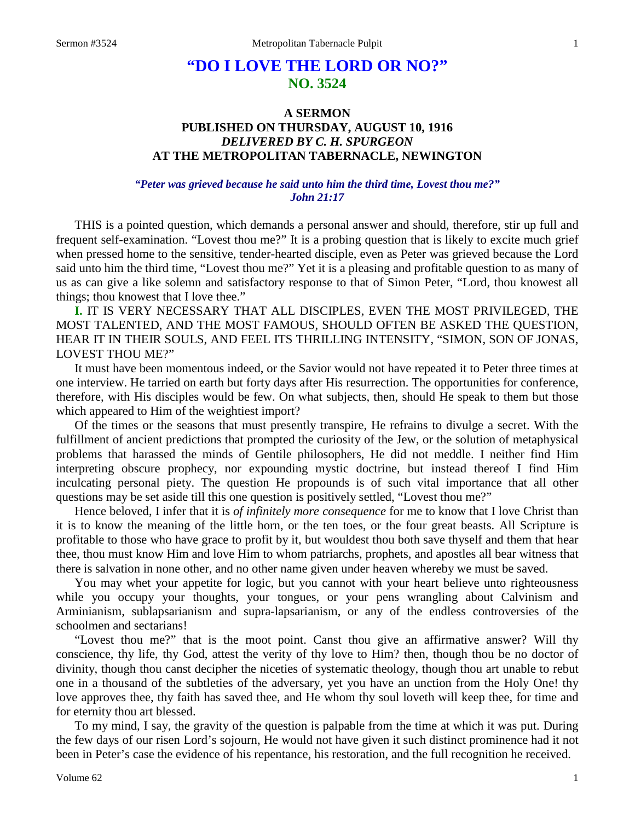# **"DO I LOVE THE LORD OR NO?" NO. 3524**

# **A SERMON PUBLISHED ON THURSDAY, AUGUST 10, 1916** *DELIVERED BY C. H. SPURGEON* **AT THE METROPOLITAN TABERNACLE, NEWINGTON**

### *"Peter was grieved because he said unto him the third time, Lovest thou me?" John 21:17*

THIS is a pointed question, which demands a personal answer and should, therefore, stir up full and frequent self-examination. "Lovest thou me?" It is a probing question that is likely to excite much grief when pressed home to the sensitive, tender-hearted disciple, even as Peter was grieved because the Lord said unto him the third time, "Lovest thou me?" Yet it is a pleasing and profitable question to as many of us as can give a like solemn and satisfactory response to that of Simon Peter, "Lord, thou knowest all things; thou knowest that I love thee."

**I.** IT IS VERY NECESSARY THAT ALL DISCIPLES, EVEN THE MOST PRIVILEGED, THE MOST TALENTED, AND THE MOST FAMOUS, SHOULD OFTEN BE ASKED THE QUESTION, HEAR IT IN THEIR SOULS, AND FEEL ITS THRILLING INTENSITY, "SIMON, SON OF JONAS, LOVEST THOU ME?"

It must have been momentous indeed, or the Savior would not have repeated it to Peter three times at one interview. He tarried on earth but forty days after His resurrection. The opportunities for conference, therefore, with His disciples would be few. On what subjects, then, should He speak to them but those which appeared to Him of the weightiest import?

Of the times or the seasons that must presently transpire, He refrains to divulge a secret. With the fulfillment of ancient predictions that prompted the curiosity of the Jew, or the solution of metaphysical problems that harassed the minds of Gentile philosophers, He did not meddle. I neither find Him interpreting obscure prophecy, nor expounding mystic doctrine, but instead thereof I find Him inculcating personal piety. The question He propounds is of such vital importance that all other questions may be set aside till this one question is positively settled, "Lovest thou me?"

Hence beloved, I infer that it is *of infinitely more consequence* for me to know that I love Christ than it is to know the meaning of the little horn, or the ten toes, or the four great beasts. All Scripture is profitable to those who have grace to profit by it, but wouldest thou both save thyself and them that hear thee, thou must know Him and love Him to whom patriarchs, prophets, and apostles all bear witness that there is salvation in none other, and no other name given under heaven whereby we must be saved.

You may whet your appetite for logic, but you cannot with your heart believe unto righteousness while you occupy your thoughts, your tongues, or your pens wrangling about Calvinism and Arminianism, sublapsarianism and supra-lapsarianism, or any of the endless controversies of the schoolmen and sectarians!

"Lovest thou me?" that is the moot point. Canst thou give an affirmative answer? Will thy conscience, thy life, thy God, attest the verity of thy love to Him? then, though thou be no doctor of divinity, though thou canst decipher the niceties of systematic theology, though thou art unable to rebut one in a thousand of the subtleties of the adversary, yet you have an unction from the Holy One! thy love approves thee, thy faith has saved thee, and He whom thy soul loveth will keep thee, for time and for eternity thou art blessed.

To my mind, I say, the gravity of the question is palpable from the time at which it was put. During the few days of our risen Lord's sojourn, He would not have given it such distinct prominence had it not been in Peter's case the evidence of his repentance, his restoration, and the full recognition he received.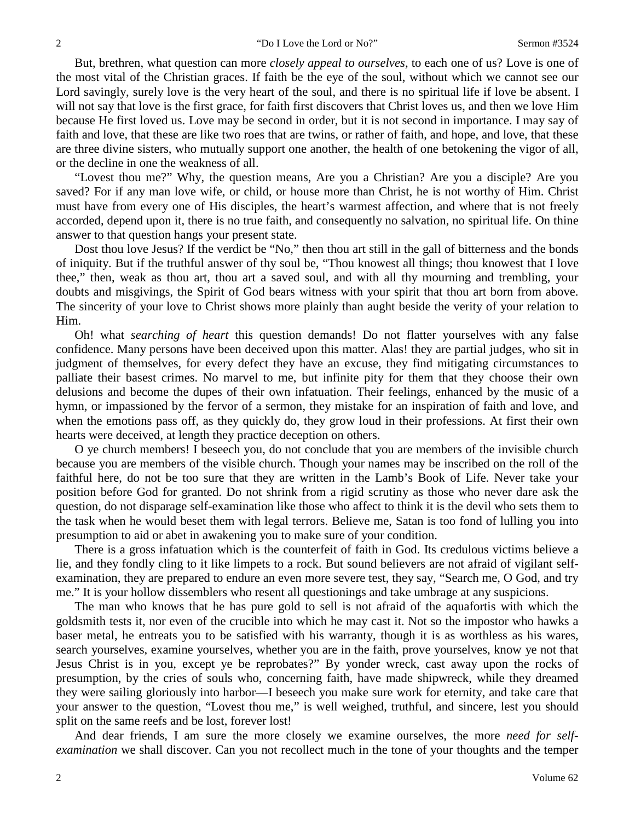But, brethren, what question can more *closely appeal to ourselves,* to each one of us? Love is one of the most vital of the Christian graces. If faith be the eye of the soul, without which we cannot see our Lord savingly, surely love is the very heart of the soul, and there is no spiritual life if love be absent. I will not say that love is the first grace, for faith first discovers that Christ loves us, and then we love Him because He first loved us. Love may be second in order, but it is not second in importance. I may say of faith and love, that these are like two roes that are twins, or rather of faith, and hope, and love, that these are three divine sisters, who mutually support one another, the health of one betokening the vigor of all, or the decline in one the weakness of all.

"Lovest thou me?" Why, the question means, Are you a Christian? Are you a disciple? Are you saved? For if any man love wife, or child, or house more than Christ, he is not worthy of Him. Christ must have from every one of His disciples, the heart's warmest affection, and where that is not freely accorded, depend upon it, there is no true faith, and consequently no salvation, no spiritual life. On thine answer to that question hangs your present state.

Dost thou love Jesus? If the verdict be "No," then thou art still in the gall of bitterness and the bonds of iniquity. But if the truthful answer of thy soul be, "Thou knowest all things; thou knowest that I love thee," then, weak as thou art, thou art a saved soul, and with all thy mourning and trembling, your doubts and misgivings, the Spirit of God bears witness with your spirit that thou art born from above. The sincerity of your love to Christ shows more plainly than aught beside the verity of your relation to Him.

Oh! what *searching of heart* this question demands! Do not flatter yourselves with any false confidence. Many persons have been deceived upon this matter. Alas! they are partial judges, who sit in judgment of themselves, for every defect they have an excuse, they find mitigating circumstances to palliate their basest crimes. No marvel to me, but infinite pity for them that they choose their own delusions and become the dupes of their own infatuation. Their feelings, enhanced by the music of a hymn, or impassioned by the fervor of a sermon, they mistake for an inspiration of faith and love, and when the emotions pass off, as they quickly do, they grow loud in their professions. At first their own hearts were deceived, at length they practice deception on others.

O ye church members! I beseech you, do not conclude that you are members of the invisible church because you are members of the visible church. Though your names may be inscribed on the roll of the faithful here, do not be too sure that they are written in the Lamb's Book of Life. Never take your position before God for granted. Do not shrink from a rigid scrutiny as those who never dare ask the question, do not disparage self-examination like those who affect to think it is the devil who sets them to the task when he would beset them with legal terrors. Believe me, Satan is too fond of lulling you into presumption to aid or abet in awakening you to make sure of your condition.

There is a gross infatuation which is the counterfeit of faith in God. Its credulous victims believe a lie, and they fondly cling to it like limpets to a rock. But sound believers are not afraid of vigilant selfexamination, they are prepared to endure an even more severe test, they say, "Search me, O God, and try me." It is your hollow dissemblers who resent all questionings and take umbrage at any suspicions.

The man who knows that he has pure gold to sell is not afraid of the aquafortis with which the goldsmith tests it, nor even of the crucible into which he may cast it. Not so the impostor who hawks a baser metal, he entreats you to be satisfied with his warranty, though it is as worthless as his wares, search yourselves, examine yourselves, whether you are in the faith, prove yourselves, know ye not that Jesus Christ is in you, except ye be reprobates?" By yonder wreck, cast away upon the rocks of presumption, by the cries of souls who, concerning faith, have made shipwreck, while they dreamed they were sailing gloriously into harbor—I beseech you make sure work for eternity, and take care that your answer to the question, "Lovest thou me," is well weighed, truthful, and sincere, lest you should split on the same reefs and be lost, forever lost!

And dear friends, I am sure the more closely we examine ourselves, the more *need for selfexamination* we shall discover. Can you not recollect much in the tone of your thoughts and the temper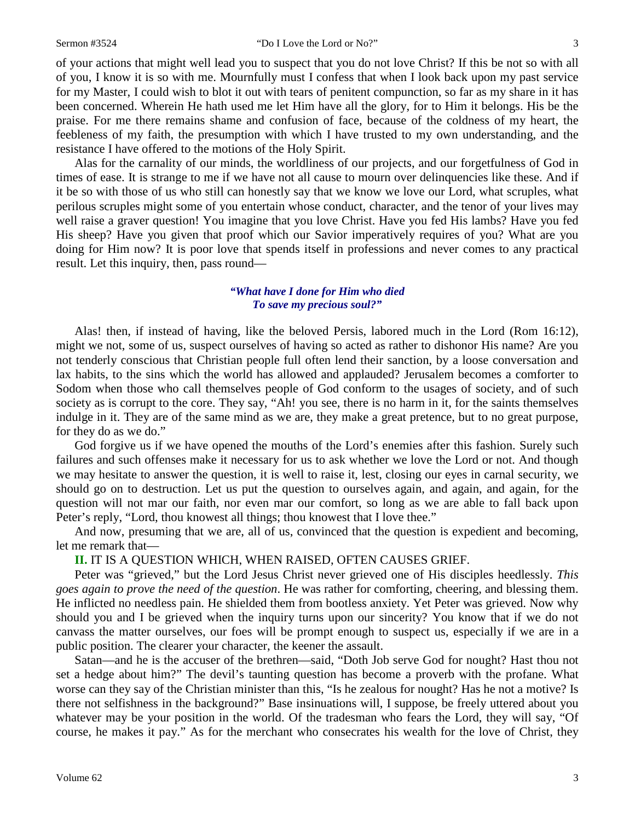of your actions that might well lead you to suspect that you do not love Christ? If this be not so with all of you, I know it is so with me. Mournfully must I confess that when I look back upon my past service for my Master, I could wish to blot it out with tears of penitent compunction, so far as my share in it has been concerned. Wherein He hath used me let Him have all the glory, for to Him it belongs. His be the praise. For me there remains shame and confusion of face, because of the coldness of my heart, the feebleness of my faith, the presumption with which I have trusted to my own understanding, and the resistance I have offered to the motions of the Holy Spirit.

Alas for the carnality of our minds, the worldliness of our projects, and our forgetfulness of God in times of ease. It is strange to me if we have not all cause to mourn over delinquencies like these. And if it be so with those of us who still can honestly say that we know we love our Lord, what scruples, what perilous scruples might some of you entertain whose conduct, character, and the tenor of your lives may well raise a graver question! You imagine that you love Christ. Have you fed His lambs? Have you fed His sheep? Have you given that proof which our Savior imperatively requires of you? What are you doing for Him now? It is poor love that spends itself in professions and never comes to any practical result. Let this inquiry, then, pass round—

## *"What have I done for Him who died To save my precious soul?"*

Alas! then, if instead of having, like the beloved Persis, labored much in the Lord (Rom 16:12), might we not, some of us, suspect ourselves of having so acted as rather to dishonor His name? Are you not tenderly conscious that Christian people full often lend their sanction, by a loose conversation and lax habits, to the sins which the world has allowed and applauded? Jerusalem becomes a comforter to Sodom when those who call themselves people of God conform to the usages of society, and of such society as is corrupt to the core. They say, "Ah! you see, there is no harm in it, for the saints themselves indulge in it. They are of the same mind as we are, they make a great pretence, but to no great purpose, for they do as we do."

God forgive us if we have opened the mouths of the Lord's enemies after this fashion. Surely such failures and such offenses make it necessary for us to ask whether we love the Lord or not. And though we may hesitate to answer the question, it is well to raise it, lest, closing our eyes in carnal security, we should go on to destruction. Let us put the question to ourselves again, and again, and again, for the question will not mar our faith, nor even mar our comfort, so long as we are able to fall back upon Peter's reply, "Lord, thou knowest all things; thou knowest that I love thee."

And now, presuming that we are, all of us, convinced that the question is expedient and becoming, let me remark that—

**II.** IT IS A QUESTION WHICH, WHEN RAISED, OFTEN CAUSES GRIEF.

Peter was "grieved," but the Lord Jesus Christ never grieved one of His disciples heedlessly. *This goes again to prove the need of the question*. He was rather for comforting, cheering, and blessing them. He inflicted no needless pain. He shielded them from bootless anxiety. Yet Peter was grieved. Now why should you and I be grieved when the inquiry turns upon our sincerity? You know that if we do not canvass the matter ourselves, our foes will be prompt enough to suspect us, especially if we are in a public position. The clearer your character, the keener the assault.

Satan—and he is the accuser of the brethren—said, "Doth Job serve God for nought? Hast thou not set a hedge about him?" The devil's taunting question has become a proverb with the profane. What worse can they say of the Christian minister than this, "Is he zealous for nought? Has he not a motive? Is there not selfishness in the background?" Base insinuations will, I suppose, be freely uttered about you whatever may be your position in the world. Of the tradesman who fears the Lord, they will say, "Of course, he makes it pay." As for the merchant who consecrates his wealth for the love of Christ, they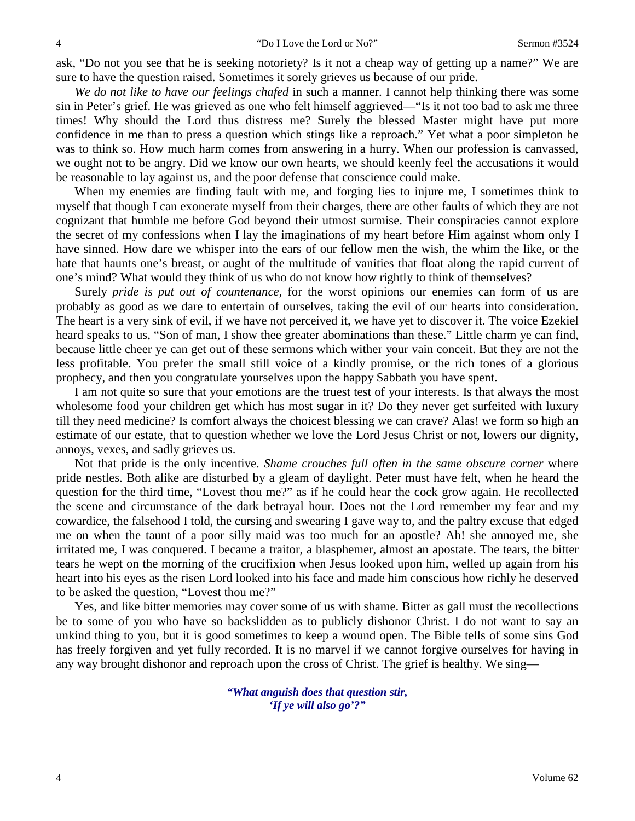ask, "Do not you see that he is seeking notoriety? Is it not a cheap way of getting up a name?" We are sure to have the question raised. Sometimes it sorely grieves us because of our pride.

*We do not like to have our feelings chafed* in such a manner. I cannot help thinking there was some sin in Peter's grief. He was grieved as one who felt himself aggrieved—"Is it not too bad to ask me three times! Why should the Lord thus distress me? Surely the blessed Master might have put more confidence in me than to press a question which stings like a reproach." Yet what a poor simpleton he was to think so. How much harm comes from answering in a hurry. When our profession is canvassed, we ought not to be angry. Did we know our own hearts, we should keenly feel the accusations it would be reasonable to lay against us, and the poor defense that conscience could make.

When my enemies are finding fault with me, and forging lies to injure me, I sometimes think to myself that though I can exonerate myself from their charges, there are other faults of which they are not cognizant that humble me before God beyond their utmost surmise. Their conspiracies cannot explore the secret of my confessions when I lay the imaginations of my heart before Him against whom only I have sinned. How dare we whisper into the ears of our fellow men the wish, the whim the like, or the hate that haunts one's breast, or aught of the multitude of vanities that float along the rapid current of one's mind? What would they think of us who do not know how rightly to think of themselves?

Surely *pride is put out of countenance,* for the worst opinions our enemies can form of us are probably as good as we dare to entertain of ourselves, taking the evil of our hearts into consideration. The heart is a very sink of evil, if we have not perceived it, we have yet to discover it. The voice Ezekiel heard speaks to us, "Son of man, I show thee greater abominations than these." Little charm ye can find, because little cheer ye can get out of these sermons which wither your vain conceit. But they are not the less profitable. You prefer the small still voice of a kindly promise, or the rich tones of a glorious prophecy, and then you congratulate yourselves upon the happy Sabbath you have spent.

I am not quite so sure that your emotions are the truest test of your interests. Is that always the most wholesome food your children get which has most sugar in it? Do they never get surfeited with luxury till they need medicine? Is comfort always the choicest blessing we can crave? Alas! we form so high an estimate of our estate, that to question whether we love the Lord Jesus Christ or not, lowers our dignity, annoys, vexes, and sadly grieves us.

Not that pride is the only incentive. *Shame crouches full often in the same obscure corner* where pride nestles. Both alike are disturbed by a gleam of daylight. Peter must have felt, when he heard the question for the third time, "Lovest thou me?" as if he could hear the cock grow again. He recollected the scene and circumstance of the dark betrayal hour. Does not the Lord remember my fear and my cowardice, the falsehood I told, the cursing and swearing I gave way to, and the paltry excuse that edged me on when the taunt of a poor silly maid was too much for an apostle? Ah! she annoyed me, she irritated me, I was conquered. I became a traitor, a blasphemer, almost an apostate. The tears, the bitter tears he wept on the morning of the crucifixion when Jesus looked upon him, welled up again from his heart into his eyes as the risen Lord looked into his face and made him conscious how richly he deserved to be asked the question, "Lovest thou me?"

Yes, and like bitter memories may cover some of us with shame. Bitter as gall must the recollections be to some of you who have so backslidden as to publicly dishonor Christ. I do not want to say an unkind thing to you, but it is good sometimes to keep a wound open. The Bible tells of some sins God has freely forgiven and yet fully recorded. It is no marvel if we cannot forgive ourselves for having in any way brought dishonor and reproach upon the cross of Christ. The grief is healthy. We sing—

> *"What anguish does that question stir, 'If ye will also go'?"*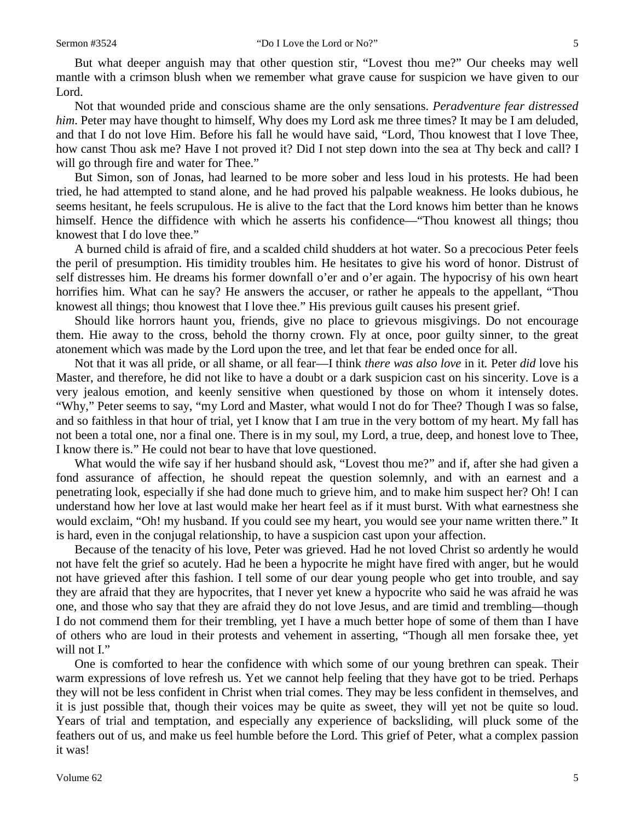But what deeper anguish may that other question stir, "Lovest thou me?" Our cheeks may well mantle with a crimson blush when we remember what grave cause for suspicion we have given to our Lord.

Not that wounded pride and conscious shame are the only sensations. *Peradventure fear distressed him*. Peter may have thought to himself, Why does my Lord ask me three times? It may be I am deluded, and that I do not love Him. Before his fall he would have said, "Lord, Thou knowest that I love Thee, how canst Thou ask me? Have I not proved it? Did I not step down into the sea at Thy beck and call? I will go through fire and water for Thee."

But Simon, son of Jonas, had learned to be more sober and less loud in his protests. He had been tried, he had attempted to stand alone, and he had proved his palpable weakness. He looks dubious, he seems hesitant, he feels scrupulous. He is alive to the fact that the Lord knows him better than he knows himself. Hence the diffidence with which he asserts his confidence—"Thou knowest all things; thou knowest that I do love thee."

A burned child is afraid of fire, and a scalded child shudders at hot water. So a precocious Peter feels the peril of presumption. His timidity troubles him. He hesitates to give his word of honor. Distrust of self distresses him. He dreams his former downfall o'er and o'er again. The hypocrisy of his own heart horrifies him. What can he say? He answers the accuser, or rather he appeals to the appellant, "Thou knowest all things; thou knowest that I love thee." His previous guilt causes his present grief.

Should like horrors haunt you, friends, give no place to grievous misgivings. Do not encourage them. Hie away to the cross, behold the thorny crown. Fly at once, poor guilty sinner, to the great atonement which was made by the Lord upon the tree, and let that fear be ended once for all.

Not that it was all pride, or all shame, or all fear—I think *there was also love* in it*.* Peter *did* love his Master, and therefore, he did not like to have a doubt or a dark suspicion cast on his sincerity. Love is a very jealous emotion, and keenly sensitive when questioned by those on whom it intensely dotes. "Why," Peter seems to say, "my Lord and Master, what would I not do for Thee? Though I was so false, and so faithless in that hour of trial, yet I know that I am true in the very bottom of my heart. My fall has not been a total one, nor a final one. There is in my soul, my Lord, a true, deep, and honest love to Thee, I know there is." He could not bear to have that love questioned.

What would the wife say if her husband should ask, "Lovest thou me?" and if, after she had given a fond assurance of affection, he should repeat the question solemnly, and with an earnest and a penetrating look, especially if she had done much to grieve him, and to make him suspect her? Oh! I can understand how her love at last would make her heart feel as if it must burst. With what earnestness she would exclaim, "Oh! my husband. If you could see my heart, you would see your name written there." It is hard, even in the conjugal relationship, to have a suspicion cast upon your affection.

Because of the tenacity of his love, Peter was grieved. Had he not loved Christ so ardently he would not have felt the grief so acutely. Had he been a hypocrite he might have fired with anger, but he would not have grieved after this fashion. I tell some of our dear young people who get into trouble, and say they are afraid that they are hypocrites, that I never yet knew a hypocrite who said he was afraid he was one, and those who say that they are afraid they do not love Jesus, and are timid and trembling—though I do not commend them for their trembling, yet I have a much better hope of some of them than I have of others who are loud in their protests and vehement in asserting, "Though all men forsake thee, yet will not I."

One is comforted to hear the confidence with which some of our young brethren can speak. Their warm expressions of love refresh us. Yet we cannot help feeling that they have got to be tried. Perhaps they will not be less confident in Christ when trial comes. They may be less confident in themselves, and it is just possible that, though their voices may be quite as sweet, they will yet not be quite so loud. Years of trial and temptation, and especially any experience of backsliding, will pluck some of the feathers out of us, and make us feel humble before the Lord. This grief of Peter, what a complex passion it was!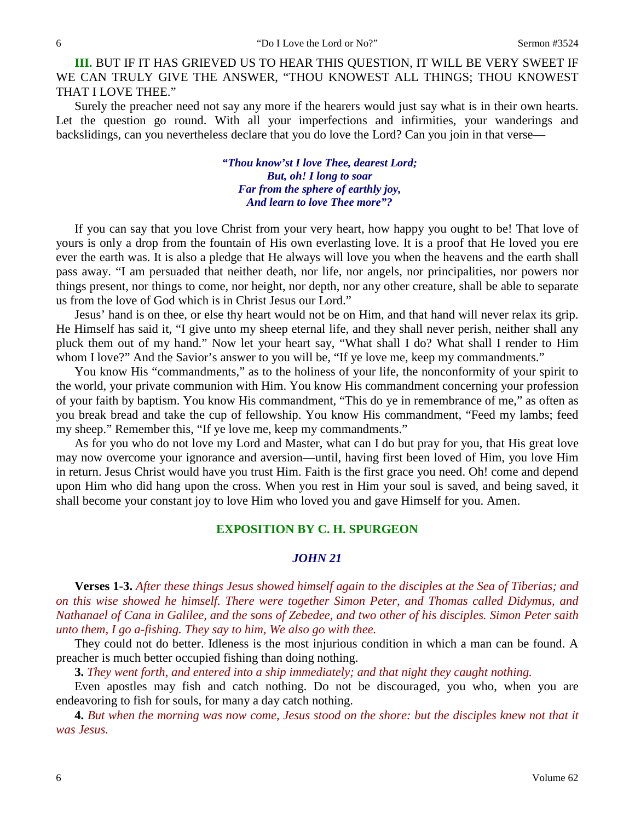**III.** BUT IF IT HAS GRIEVED US TO HEAR THIS QUESTION, IT WILL BE VERY SWEET IF WE CAN TRULY GIVE THE ANSWER, "THOU KNOWEST ALL THINGS; THOU KNOWEST THAT I LOVE THEE."

Surely the preacher need not say any more if the hearers would just say what is in their own hearts. Let the question go round. With all your imperfections and infirmities, your wanderings and backslidings, can you nevertheless declare that you do love the Lord? Can you join in that verse—

> *"Thou know'st I love Thee, dearest Lord; But, oh! I long to soar Far from the sphere of earthly joy, And learn to love Thee more"?*

If you can say that you love Christ from your very heart, how happy you ought to be! That love of yours is only a drop from the fountain of His own everlasting love. It is a proof that He loved you ere ever the earth was. It is also a pledge that He always will love you when the heavens and the earth shall pass away. "I am persuaded that neither death, nor life, nor angels, nor principalities, nor powers nor things present, nor things to come, nor height, nor depth, nor any other creature, shall be able to separate us from the love of God which is in Christ Jesus our Lord."

Jesus' hand is on thee, or else thy heart would not be on Him, and that hand will never relax its grip. He Himself has said it, "I give unto my sheep eternal life, and they shall never perish, neither shall any pluck them out of my hand." Now let your heart say, "What shall I do? What shall I render to Him whom I love?" And the Savior's answer to you will be, "If ye love me, keep my commandments."

You know His "commandments," as to the holiness of your life, the nonconformity of your spirit to the world, your private communion with Him. You know His commandment concerning your profession of your faith by baptism. You know His commandment, "This do ye in remembrance of me," as often as you break bread and take the cup of fellowship. You know His commandment, "Feed my lambs; feed my sheep." Remember this, "If ye love me, keep my commandments."

As for you who do not love my Lord and Master, what can I do but pray for you, that His great love may now overcome your ignorance and aversion—until, having first been loved of Him, you love Him in return. Jesus Christ would have you trust Him. Faith is the first grace you need. Oh! come and depend upon Him who did hang upon the cross. When you rest in Him your soul is saved, and being saved, it shall become your constant joy to love Him who loved you and gave Himself for you. Amen.

#### **EXPOSITION BY C. H. SPURGEON**

#### *JOHN 21*

**Verses 1-3.** *After these things Jesus showed himself again to the disciples at the Sea of Tiberias; and on this wise showed he himself. There were together Simon Peter, and Thomas called Didymus, and Nathanael of Cana in Galilee, and the sons of Zebedee, and two other of his disciples. Simon Peter saith unto them, I go a-fishing. They say to him, We also go with thee.* 

They could not do better. Idleness is the most injurious condition in which a man can be found. A preacher is much better occupied fishing than doing nothing.

**3.** *They went forth, and entered into a ship immediately; and that night they caught nothing.* 

Even apostles may fish and catch nothing. Do not be discouraged, you who, when you are endeavoring to fish for souls, for many a day catch nothing.

**4.** *But when the morning was now come, Jesus stood on the shore: but the disciples knew not that it was Jesus.*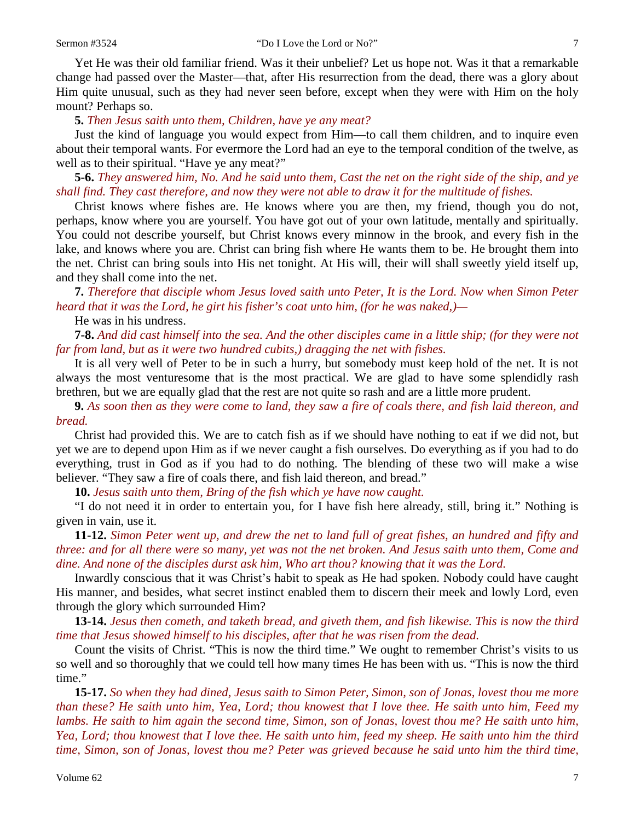Yet He was their old familiar friend. Was it their unbelief? Let us hope not. Was it that a remarkable change had passed over the Master—that, after His resurrection from the dead, there was a glory about Him quite unusual, such as they had never seen before, except when they were with Him on the holy mount? Perhaps so.

**5.** *Then Jesus saith unto them, Children, have ye any meat?* 

Just the kind of language you would expect from Him—to call them children, and to inquire even about their temporal wants. For evermore the Lord had an eye to the temporal condition of the twelve, as well as to their spiritual. "Have ye any meat?"

**5-6.** *They answered him, No. And he said unto them, Cast the net on the right side of the ship, and ye shall find. They cast therefore, and now they were not able to draw it for the multitude of fishes.* 

Christ knows where fishes are. He knows where you are then, my friend, though you do not, perhaps, know where you are yourself. You have got out of your own latitude, mentally and spiritually. You could not describe yourself, but Christ knows every minnow in the brook, and every fish in the lake, and knows where you are. Christ can bring fish where He wants them to be. He brought them into the net. Christ can bring souls into His net tonight. At His will, their will shall sweetly yield itself up, and they shall come into the net.

**7.** *Therefore that disciple whom Jesus loved saith unto Peter, It is the Lord. Now when Simon Peter heard that it was the Lord, he girt his fisher's coat unto him, (for he was naked,)—*

He was in his undress.

**7-8.** *And did cast himself into the sea. And the other disciples came in a little ship; (for they were not far from land, but as it were two hundred cubits,) dragging the net with fishes.* 

It is all very well of Peter to be in such a hurry, but somebody must keep hold of the net. It is not always the most venturesome that is the most practical. We are glad to have some splendidly rash brethren, but we are equally glad that the rest are not quite so rash and are a little more prudent.

**9.** *As soon then as they were come to land, they saw a fire of coals there, and fish laid thereon, and bread.* 

Christ had provided this. We are to catch fish as if we should have nothing to eat if we did not, but yet we are to depend upon Him as if we never caught a fish ourselves. Do everything as if you had to do everything, trust in God as if you had to do nothing. The blending of these two will make a wise believer. "They saw a fire of coals there, and fish laid thereon, and bread."

**10.** *Jesus saith unto them, Bring of the fish which ye have now caught.* 

"I do not need it in order to entertain you, for I have fish here already, still, bring it." Nothing is given in vain, use it.

**11-12.** *Simon Peter went up, and drew the net to land full of great fishes, an hundred and fifty and three: and for all there were so many, yet was not the net broken. And Jesus saith unto them, Come and dine. And none of the disciples durst ask him, Who art thou? knowing that it was the Lord.* 

Inwardly conscious that it was Christ's habit to speak as He had spoken. Nobody could have caught His manner, and besides, what secret instinct enabled them to discern their meek and lowly Lord, even through the glory which surrounded Him?

**13-14.** *Jesus then cometh, and taketh bread, and giveth them, and fish likewise. This is now the third time that Jesus showed himself to his disciples, after that he was risen from the dead.* 

Count the visits of Christ. "This is now the third time." We ought to remember Christ's visits to us so well and so thoroughly that we could tell how many times He has been with us. "This is now the third time."

**15-17.** *So when they had dined, Jesus saith to Simon Peter, Simon, son of Jonas, lovest thou me more than these? He saith unto him, Yea, Lord; thou knowest that I love thee. He saith unto him, Feed my lambs. He saith to him again the second time, Simon, son of Jonas, lovest thou me? He saith unto him, Yea, Lord; thou knowest that I love thee. He saith unto him, feed my sheep. He saith unto him the third time, Simon, son of Jonas, lovest thou me? Peter was grieved because he said unto him the third time,*